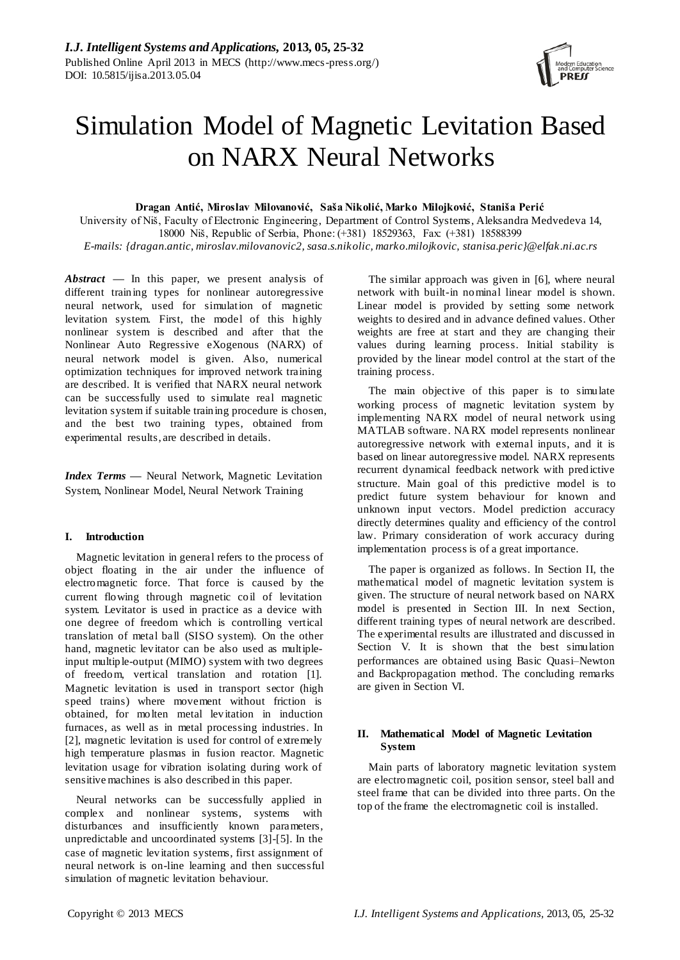

# Simulation Model of Magnetic Levitation Based on NARX Neural Networks

**Dragan Antić, Miroslav Milovanović, Saša Nikolić, Marko Milojković, Staniša Perić**

University of Niš, Faculty of Electronic Engineering, Department of Control Systems, Aleksandra Medvedeva 14, 18000 Niš, Republic of Serbia, Phone: (+381) 18529363, Fax: (+381) 18588399 *E-mails: {dragan.antic, miroslav.milovanovic2, sasa.s.nikolic, marko.milojkovic, stanisa.peric}@elfak.ni.ac.rs*

*Abstract —* In this paper, we present analysis of different training types for nonlinear autoregressive neural network, used for simulation of magnetic levitation system. First, the model of this highly nonlinear system is described and after that the Nonlinear Auto Regressive eXogenous (NARX) of neural network model is given. Also, numerical optimization techniques for improved network training are described. It is verified that NARX neural network can be successfully used to simulate real magnetic levitation system if suitable training procedure is chosen, and the best two training types, obtained from experimental results, are described in details.

*Index Terms* **—** Neural Network, Magnetic Levitation System, Nonlinear Model, Neural Network Training

# **I. Introduction**

Magnetic levitation in general refers to the process of object floating in the air under the influence of electromagnetic force. That force is caused by the current flowing through magnetic coil of levitation system. Levitator is used in practice as a device with one degree of freedom which is controlling vertical translation of metal ball (SISO system). On the other hand, magnetic levitator can be also used as multipleinput multiple-output (MIMO) system with two degrees of freedom, vertical translation and rotation [1]. Magnetic levitation is used in transport sector (high speed trains) where movement without friction is obtained, for molten metal levitation in induction furnaces, as well as in metal processing industries. In [2], magnetic levitation is used for control of extremely high temperature plasmas in fusion reactor. Magnetic levitation usage for vibration isolating during work of sensitive machines is also described in this paper.

Neural networks can be successfully applied in complex and nonlinear systems, systems with disturbances and insufficiently known parameters, unpredictable and uncoordinated systems [3]-[5]. In the case of magnetic levitation systems, first assignment of neural network is on-line learning and then successful simulation of magnetic levitation behaviour.

The similar approach was given in [6], where neural network with built-in nominal linear model is shown. Linear model is provided by setting some network weights to desired and in advance defined values. Other weights are free at start and they are changing their values during learning process. Initial stability is provided by the linear model control at the start of the training process.

The main objective of this paper is to simulate working process of magnetic levitation system by implementing NARX model of neural network using MATLAB software. NARX model represents nonlinear autoregressive network with external inputs, and it is based on linear autoregressive model. NARX represents recurrent dynamical feedback network with predictive structure. Main goal of this predictive model is to predict future system behaviour for known and unknown input vectors. Model prediction accuracy directly determines quality and efficiency of the control law. Primary consideration of work accuracy during implementation process is of a great importance.

The paper is organized as follows. In Section II, the mathematical model of magnetic levitation system is given. The structure of neural network based on NARX model is presented in Section III. In next Section, different training types of neural network are described. The experimental results are illustrated and discussed in Section V. It is shown that the best simulation performances are obtained using Basic Quasi–Newton and Backpropagation method. The concluding remarks are given in Section VI.

# **II. Mathematical Model of Magnetic Levitation System**

Main parts of laboratory magnetic levitation system are electromagnetic coil, position sensor, steel ball and steel frame that can be divided into three parts. On the top of the frame the electromagnetic coil is installed.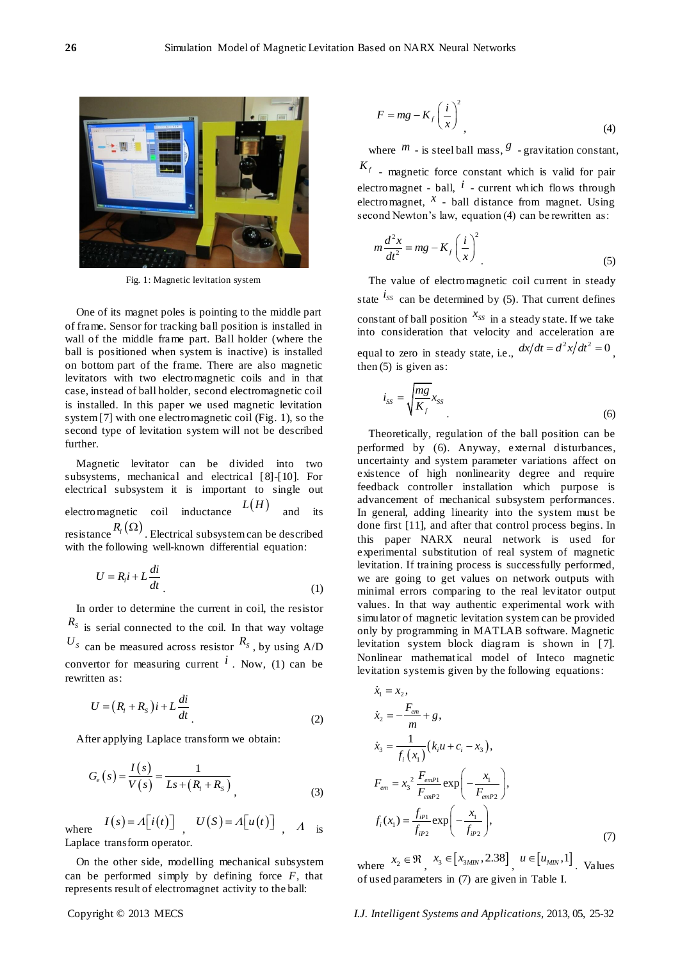

Fig. 1: Magnetic levitation system

One of its magnet poles is pointing to the middle part of frame. Sensor for tracking ball position is installed in wall of the middle frame part. Ball holder (where the ball is positioned when system is inactive) is installed on bottom part of the frame. There are also magnetic levitators with two electromagnetic coils and in that case, instead of ball holder, second electromagnetic coil is installed. In this paper we used magnetic levitation system [7] with one electromagnetic coil (Fig. 1), so the second type of levitation system will not be described further.

Magnetic levitator can be divided into two subsystems, mechanical and electrical [8]-[10]. For electrical subsystem it is important to single out electromagnetic coil inductance  $L(H)$ and its resistance  $R_{i}(\Omega)$  . Electrical subsystem can be described with the following well-known differential equation:

$$
U = R_i i + L \frac{di}{dt}
$$
 (1)

In order to determine the current in coil, the resistor  $R<sub>S</sub>$  is serial connected to the coil. In that way voltage  $U_s$  can be measured across resistor  $R_s$ , by using A/D convertor for measuring current  $\hat{i}$ . Now, (1) can be rewritten as:

$$
U = (R_i + R_s)i + L\frac{di}{dt}
$$
\n(2)

After applying Laplace transform we obtain:

$$
G_e(s) = \frac{I(s)}{V(s)} = \frac{1}{Ls + (R_t + R_s)},
$$
\n(3)

where  $I(s) = A[i(t)]$ ,  $U(S) = A[u(t)]$ ,  $A$  is Laplace transform operator.

On the other side, modelling mechanical subsystem can be performed simply by defining force *F*, that

$$
F = mg - K_f \left(\frac{i}{x}\right)^2\tag{4}
$$

where  $m$  - is steel ball mass,  $\frac{g}{g}$  - gravitation constant,  $K_f$  - magnetic force constant which is valid for pair electromagnet - ball,  $i$  - current which flows through electromagnet,  $x$  - ball distance from magnet. Using second Newton's law, equation (4) can be rewritten as:

$$
m\frac{d^2x}{dt^2} = mg - K_f \left(\frac{i}{x}\right)^2
$$
 (5)

The value of electromagnetic coil current in steady state  $i_{ss}$  can be determined by (5). That current defines constant of ball position  $x_{ss}$  in a steady state. If we take into consideration that velocity and acceleration are equal to zero in steady state, i.e.,  $dx/dt = d^2x/dt^2 = 0$ , then  $(5)$  is given as:

$$
i_{ss} = \sqrt{\frac{mg}{K_f}} x_{ss}
$$
 (6)

Theoretically, regulation of the ball position can be performed by (6). Anyway, external disturbances, uncertainty and system parameter variations affect on existence of high nonlinearity degree and require feedback controller installation which purpose is advancement of mechanical subsystem performances. In general, adding linearity into the system must be done first [11], and after that control process begins. In this paper NARX neural network is used for experimental substitution of real system of magnetic levitation. If training process is successfully performed, we are going to get values on network outputs with minimal errors comparing to the real levitator output values. In that way authentic experimental work with simulator of magnetic levitation system can be provided only by programming in MATLAB software. Magnetic levitation system block diagram is shown in [7]. Nonlinear mathematical model of Inteco magnetic levitation systemis given by the following equations:

$$
\dot{x}_1 = x_2, \n\dot{x}_2 = -\frac{F_{em}}{m} + g, \n\dot{x}_3 = \frac{1}{f_i(x_1)} (k_i u + c_i - x_3), \nF_{em} = x_3^2 \frac{F_{emP1}}{F_{emP2}} \exp\left(-\frac{x_1}{F_{emP2}}\right), \n f_i(x_1) = \frac{f_{ip1}}{f_{ip2}} \exp\left(-\frac{x_1}{f_{ip2}}\right),
$$
\n(7)

where  $x_2 \in \mathfrak{R}$ ,  $x_3 \in [x_{3M/N}, 2.38]$ ,  $u \in [u_{MN}, 1]$ . Values of used parameters in (7) are given in Table I.

I.J. Intelligent Systems and Applications, 2013, 05, 25-32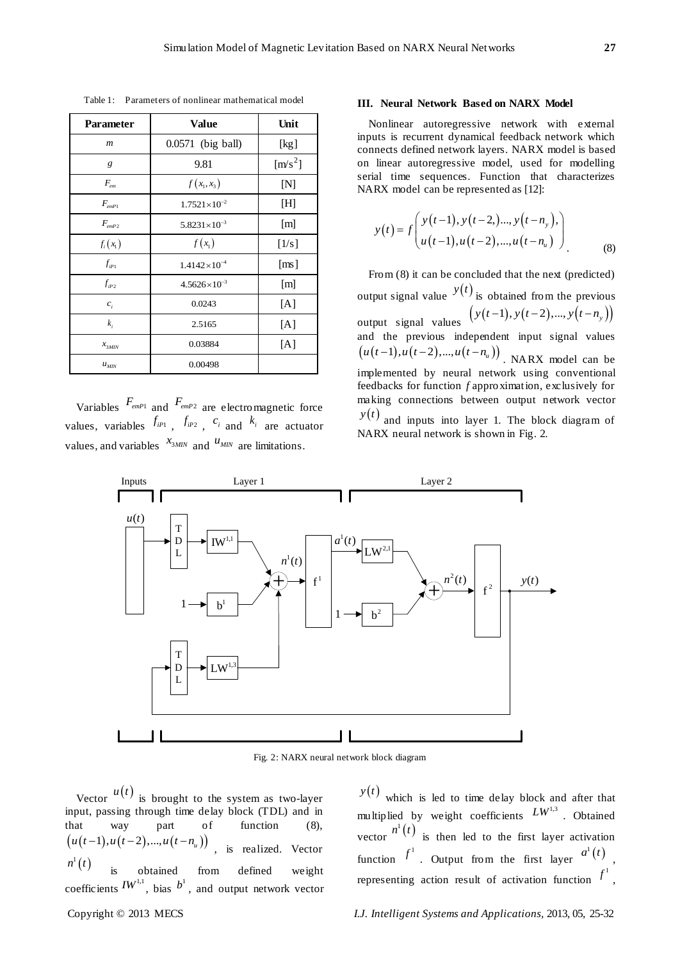| <b>Parameter</b>                 | <b>Value</b>          | Unit                      |
|----------------------------------|-----------------------|---------------------------|
| $\boldsymbol{m}$                 | 0.0571 (big ball)     | [kg]                      |
| g                                | 9.81                  | $[m/s^2]$                 |
| $F_{\scriptscriptstyle em}$      | $f(x_1, x_3)$         | [N]                       |
| $F_{emP1}$                       | $1.7521\times10^{-2}$ | [H]                       |
| $F_{emp2}$                       | $5.8231\times10^{-3}$ | $\lceil m \rceil$         |
| $f_i(x_1)$                       | $f(x_1)$              | [1/s]                     |
| $f_{ip1}$                        | $1.4142\times10^{-4}$ | $\lceil \text{ms} \rceil$ |
| $f_{ip2}$                        | $4.5626\times10^{-3}$ | [m]                       |
| $c_i$                            | 0.0243                | [A]                       |
| $k_i$                            | 2.5165                | [A]                       |
| $x_{3MIN}$                       | 0.03884               | [A]                       |
| $u_{\scriptscriptstyle M\!I\!N}$ | 0.00498               |                           |

Table 1: Parameters of nonlinear mathematical model

Variables *FemP*<sup>1</sup> and *FemP*<sup>2</sup> are electromagnetic force values, variables  $f_{iPI}$ ,  $f_{iP2}$ ,  $c_i$  and  $k_i$  are actuator values, and variables  $x_{3MIN}$  and  $u_{MIN}$  are limitations.

## **III. Neural Network Based on NARX Model**

Nonlinear autoregressive network with external inputs is recurrent dynamical feedback network which connects defined network layers. NARX model is based on linear autoregressive model, used for modelling serial time sequences. Function that characterizes NARX model can be represented as [12]:

$$
y(t) = f\left(\frac{y(t-1), y(t-2), ..., y(t-n_y)}{u(t-1), u(t-2), ..., u(t-n_u)}\right)
$$
(8)

From (8) it can be concluded that the next (predicted) output signal value  $y(t)$  is obtained from the previous output signal values  $(y(t-1), y(t-2), ..., y(t-n<sub>y</sub>))$ and the previous independent input signal values  $u(t-1), u(t-2), ..., u(t-n<sub>u</sub>)$ . NARX model can be implemented by neural network using conventional feedbacks for function *f* approximation, exclusively for making connections between output network vector  $y(t)$  and inputs into layer 1. The block diagram of

NARX neural network is shown in Fig. 2.



Fig. 2: NARX neural network block diagram

Vector  $u(t)$  is brought to the system as two-layer input, passing through time delay block (TDL) and in that way part of function (8),<br>  $(u(t-1), u(t-2), ..., u(t-n_u))$ , is realized. Vector  $n^1(t)$ is obtained from defined weight coefficients  $IW^{1,1}$ , bias  $b^1$ , and output network vector

 $y(t)$  which is led to time delay block and after that multiplied by weight coefficients  $L^{W^{1,3}}$ . Obtained vector  $n^{1}(t)$  is then led to the first layer activation function  $f^1$ . Output from the first layer  $a^1(t)$ , representing action result of activation function  $f^1$ ,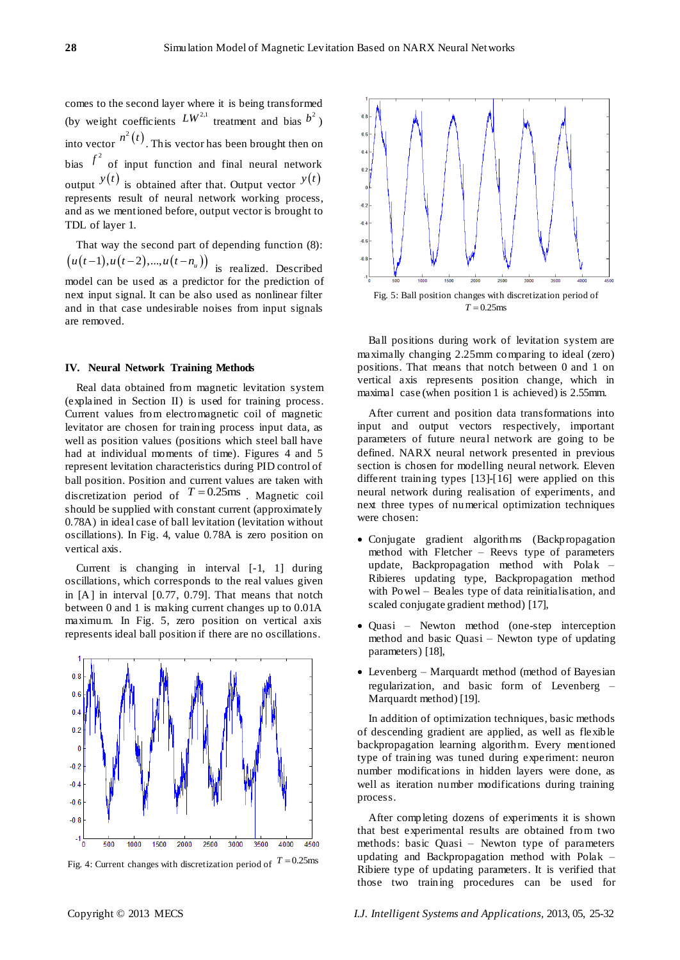comes to the second layer where it is being transformed (by weight coefficients  $LW^{2,1}$  treatment and bias  $b^2$ ) into vector  $n^2(t)$ . This vector has been brought then on bias  $f^2$  of input function and final neural network output  $y(t)$  is obtained after that. Output vector  $y(t)$ represents result of neural network working process, and as we mentioned before, output vector is brought to TDL of layer 1.

That way the second part of depending function (8):  $(u(t-1), u(t-2), ..., u(t-n<sub>u</sub>))$  is realized. Described model can be used as a predictor for the prediction of next input signal. It can be also used as nonlinear filter and in that case undesirable noises from input signals are removed.

#### **IV. Neural Network Training Methods**

Real data obtained from magnetic levitation system (explained in Section II) is used for training process. Current values from electromagnetic coil of magnetic levitator are chosen for training process input data, as well as position values (positions which steel ball have had at individual moments of time). Figures 4 and 5 represent levitation characteristics during PID control of ball position. Position and current values are taken with discretization period of  $T = 0.25$ ms. Magnetic coil should be supplied with constant current (approximately 0.78A) in ideal case of ball levitation (levitation without oscillations). In Fig. 4, value 0.78A is zero position on vertical axis.

Current is changing in interval [-1, 1] during oscillations, which corresponds to the real values given in [A] in interval [0.77, 0.79]. That means that notch between 0 and 1 is making current changes up to 0.01A maximum. In Fig. 5, zero position on vertical axis represents ideal ball position if there are no oscillations.





 $-0.4$ Fig. 5: Ball position changes with discretization period of  $T = 0.25$ ms

Ball positions during work of levitation system are maximally changing 2.25mm comparing to ideal (zero) positions. That means that notch between 0 and 1 on vertical axis represents position change, which in maximal case (when position 1 is achieved) is 2.55mm.

After current and position data transformations into input and output vectors respectively, important parameters of future neural network are going to be defined. NARX neural network presented in previous section is chosen for modelling neural network. Eleven different training types [13]-[16] were applied on this neural network during realisation of experiments, and next three types of numerical optimization techniques were chosen:

- Conjugate gradient algorithms (Backpropagation method with Fletcher – Reevs type of parameters update, Backpropagation method with Polak – Ribieres updating type, Backpropagation method with Powel – Beales type of data reinitialisation, and scaled conjugate gradient method) [17],
- Quasi Newton method (one-step interception method and basic Quasi – Newton type of updating parameters) [18],
- Levenberg Marquardt method (method of Bayesian regularization, and basic form of Levenberg – Marquardt method) [19].

In addition of optimization techniques, basic methods of descending gradient are applied, as well as flexible backpropagation learning algorithm. Every mentioned type of training was tuned during experiment: neuron number modifications in hidden layers were done, as well as iteration number modifications during training process.

After completing dozens of experiments it is shown that best experimental results are obtained from two methods: basic Quasi – Newton type of parameters updating and Backpropagation method with Polak – Ribiere type of updating parameters. It is verified that those two training procedures can be used for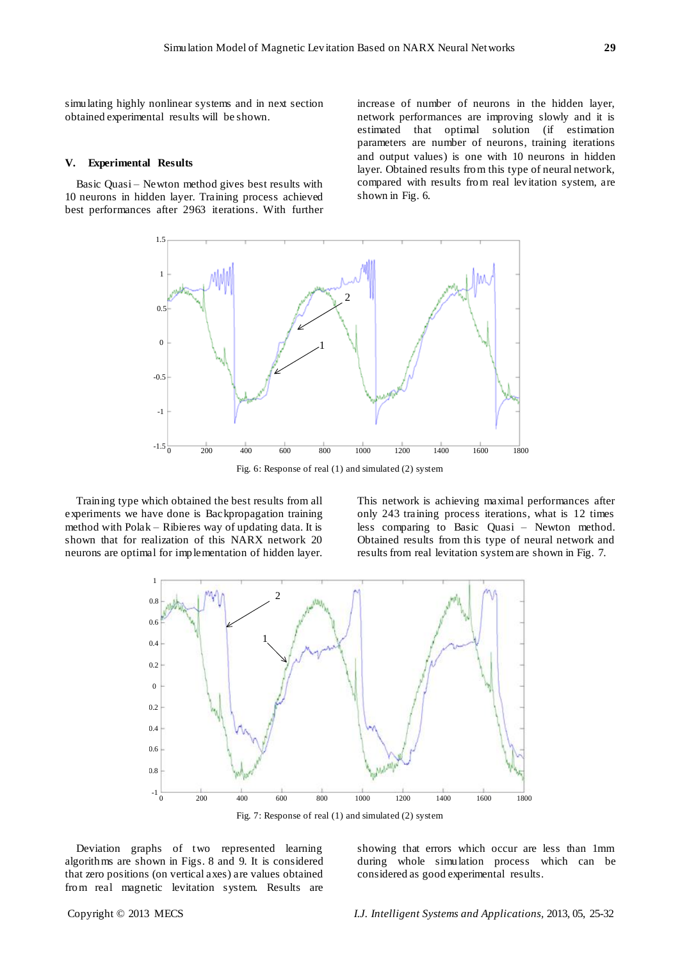simulating highly nonlinear systems and in next section obtained experimental results will be shown.

#### **V. Experimental Results**

Basic Quasi – Newton method gives best results with 10 neurons in hidden layer. Training process achieved best performances after 2963 iterations. With further increase of number of neurons in the hidden layer, network performances are improving slowly and it is estimated that optimal solution (if estimation parameters are number of neurons, training iterations and output values) is one with 10 neurons in hidden layer. Obtained results from this type of neural network, compared with results from real levitation system, are shown in Fig. 6.



Fig. 6: Response of real (1) and simulated (2) system

Training type which obtained the best results from all experiments we have done is Backpropagation training method with Polak – Ribieres way of updating data. It is shown that for realization of this NARX network 20 neurons are optimal for implementation of hidden layer.

This network is achieving maximal performances after only 243 training process iterations, what is 12 times less comparing to Basic Quasi – Newton method. Obtained results from this type of neural network and results from real levitation system are shown in Fig. 7.



Fig. 7: Response of real (1) and simulated (2) system

Deviation graphs of two represented learning algorithms are shown in Figs. 8 and 9. It is considered that zero positions (on vertical axes) are values obtained from real magnetic levitation system. Results are

showing that errors which occur are less than 1mm during whole simulation process which can be considered as good experimental results.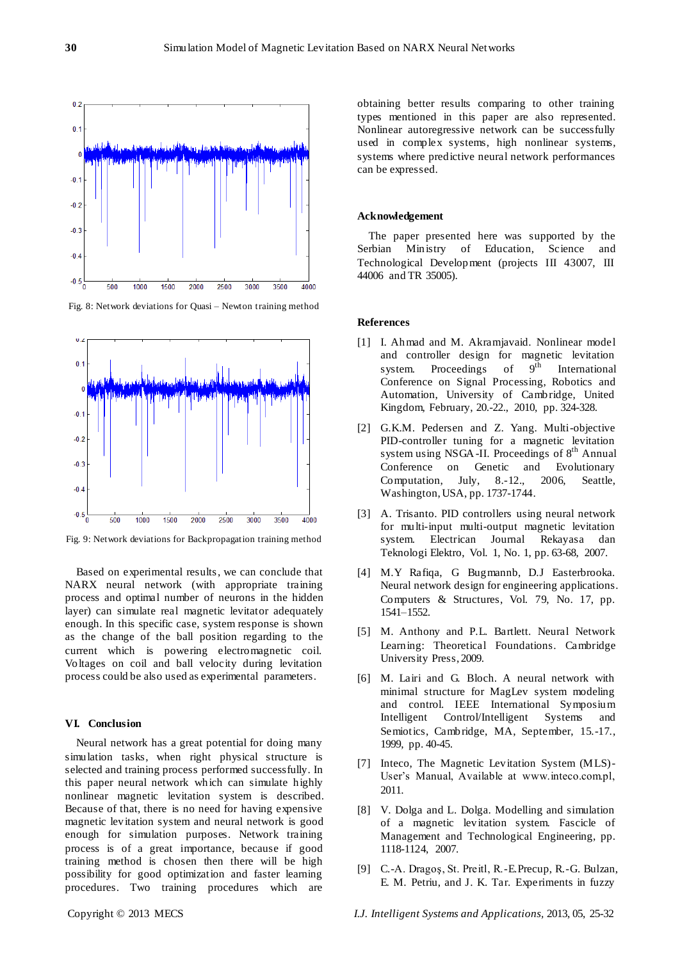

Fig. 8: Network deviations for Quasi – Newton training method



Fig. 9: Network deviations for Backpropagation training method

Based on experimental results, we can conclude that NARX neural network (with appropriate training process and optimal number of neurons in the hidden layer) can simulate real magnetic levitator adequately enough. In this specific case, system response is shown as the change of the ball position regarding to the current which is powering electromagnetic coil. Voltages on coil and ball velocity during levitation process could be also used as experimental parameters.

## **VI. Conclusion**

Neural network has a great potential for doing many simulation tasks, when right physical structure is selected and training process performed successfully. In this paper neural network which can simulate highly nonlinear magnetic levitation system is described. Because of that, there is no need for having expensive magnetic levitation system and neural network is good enough for simulation purposes. Network training process is of a great importance, because if good training method is chosen then there will be high possibility for good optimization and faster learning procedures. Two training procedures which are

obtaining better results comparing to other training types mentioned in this paper are also represented. Nonlinear autoregressive network can be successfully used in complex systems, high nonlinear systems, systems where predictive neural network performances can be expressed.

#### **Acknowledgement**

The paper presented here was supported by the Serbian Ministry of Education, Science and Technological Development (projects III 43007, III 44006 and TR 35005).

#### **References**

- [1] I. Ahmad and M. Akramjavaid. Nonlinear model and controller design for magnetic levitation system. Proceedings of  $9<sup>th</sup>$  International Conference on Signal Processing, Robotics and Automation, University of Cambridge, United Kingdom, February, 20.-22., 2010, pp. 324-328.
- [2] G.K.M. Pedersen and Z. Yang. Multi-objective PID-controller tuning for a magnetic levitation system using NSGA-II. Proceedings of 8<sup>th</sup> Annual Conference on Genetic and Evolutionary Computation, July, 8.-12., 2006, Seattle, Washington, USA, pp. 1737-1744.
- [3] A. Trisanto. PID controllers using neural network for multi-input multi-output magnetic levitation system. Electrican Journal Rekayasa dan Teknologi Elektro, Vol. 1, No. 1, pp. 63-68, 2007.
- [4] M.Y Rafiqa, G Bugmannb, D.J Easterbrooka. Neural network design for engineering applications. Computers & Structures, Vol. 79, No. 17, pp. 1541–1552.
- [5] M. Anthony and P.L. Bartlett. Neural Network Learning: Theoretical Foundations. Cambridge University Press, 2009.
- [6] M. Lairi and G. Bloch. A neural network with minimal structure for MagLev system modeling and control. IEEE International Symposium Intelligent Control/Intelligent Systems and Semiotics, Cambridge, MA, September, 15.-17., 1999, pp. 40-45.
- [7] Inteco, The Magnetic Levitation System (MLS)- User's Manual, Available at www.inteco.com.pl, 2011.
- [8] V. Dolga and L. Dolga. Modelling and simulation of a magnetic levitation system. Fascicle of Management and Technological Engineering, pp. 1118-1124, 2007.
- [9] C.-A. Dragoş, St. Preitl, R.-E.Precup, R.-G. Bulzan, E. M. Petriu, and J. K. Tar. Experiments in fuzzy

Copyright © 2013 MECS *I.J. Intelligent Systems and Applications,* 2013, 05, 25-32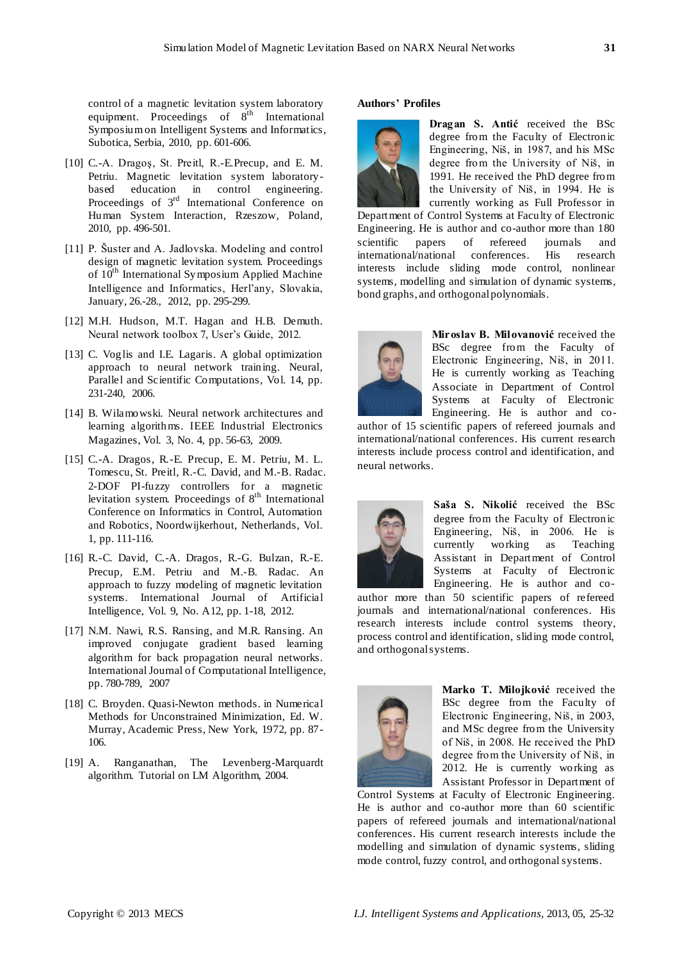control of a magnetic levitation system laboratory equipment. Proceedings of 8<sup>th</sup> International Symposium on Intelligent Systems and Informatics, Subotica, Serbia, 2010, pp. 601-606.

- [10] C.-A. Dragos, St. Preitl, R.-E.Precup, and E. M. Petriu. Magnetic levitation system laboratorybased education in control engineering. Proceedings of  $3<sup>rd</sup>$  International Conference on Human System Interaction, Rzeszow, Poland, 2010, pp. 496-501.
- [11] P. Šuster and A. Jadlovska. Modeling and control design of magnetic levitation system. Proceedings of 10<sup>th</sup> International Symposium Applied Machine Intelligence and Informatics, Herl'any, Slovakia, January, 26.-28., 2012, pp. 295-299.
- [12] M.H. Hudson, M.T. Hagan and H.B. Demuth. Neural network toolbox 7, User's Guide, 2012.
- [13] C. Voglis and I.E. Lagaris. A global optimization approach to neural network training. Neural, Parallel and Scientific Computations, Vol. 14, pp. 231-240, 2006.
- [14] B. Wilamowski. Neural network architectures and learning algorithms. IEEE Industrial Electronics Magazines, Vol. 3, No. 4, pp. 56-63, 2009.
- [15] C.-A. Dragos, R.-E. Precup, E. M. Petriu, M. L. Tomescu, St. Preitl, R.-C. David, and M.-B. Radac. 2-DOF PI-fuzzy controllers for a magnetic levitation system. Proceedings of  $8<sup>th</sup>$  International Conference on Informatics in Control, Automation and Robotics, Noordwijkerhout, Netherlands, Vol. 1, pp. 111-116.
- [16] R.-C. David, C.-A. Dragos, R.-G. Bulzan, R.-E. Precup, E.M. Petriu and M.-B. Radac. An approach to fuzzy modeling of magnetic levitation systems. International Journal of Artificial Intelligence, Vol. 9, No. A12, pp. 1-18, 2012.
- [17] N.M. Nawi, R.S. Ransing, and M.R. Ransing. An improved conjugate gradient based learning algorithm for back propagation neural networks. International Journal of Computational Intelligence, pp. 780-789, 2007
- [18] C. Broyden. Quasi-Newton methods. in Numerical Methods for Unconstrained Minimization, Ed. W. Murray, Academic Press, New York, 1972, pp. 87- 106.
- [19] A. Ranganathan, The Levenberg-Marquardt algorithm. Tutorial on LM Algorithm, 2004.

## **Authors' Profiles**



**Dragan S. Antić** received the BSc degree from the Faculty of Electronic Engineering, Niš, in 1987, and his MSc degree from the University of Niš, in 1991. He received the PhD degree from the University of Niš, in 1994. He is currently working as Full Professor in

Department of Control Systems at Faculty of Electronic Engineering. He is author and co-author more than 180 scientific papers of refereed journals and international/national conferences. His research interests include sliding mode control, nonlinear systems, modelling and simulation of dynamic systems, bond graphs, and orthogonal polynomials.



**Miroslav B. Milovanović** received the BSc degree from the Faculty of Electronic Engineering, Niš, in 2011. He is currently working as Teaching Associate in Department of Control Systems at Faculty of Electronic Engineering. He is author and co-

author of 15 scientific papers of refereed journals and international/national conferences. His current research interests include process control and identification, and neural networks.



**Saša S. Nikolić** received the BSc degree from the Faculty of Electronic Engineering, Niš, in 2006. He is currently working as Teaching Assistant in Department of Control Systems at Faculty of Electronic Engineering. He is author and co-

author more than 50 scientific papers of refereed journals and international/national conferences. His research interests include control systems theory, process control and identification, sliding mode control, and orthogonal systems.



**Marko T. Milojković** received the BSc degree from the Faculty of Electronic Engineering, Niš, in 2003, and MSc degree from the University of Niš, in 2008. He received the PhD degree from the University of Niš, in 2012. He is currently working as Assistant Professor in Department of

Control Systems at Faculty of Electronic Engineering. He is author and co-author more than 60 scientific papers of refereed journals and international/national conferences. His current research interests include the modelling and simulation of dynamic systems, sliding mode control, fuzzy control, and orthogonal systems.